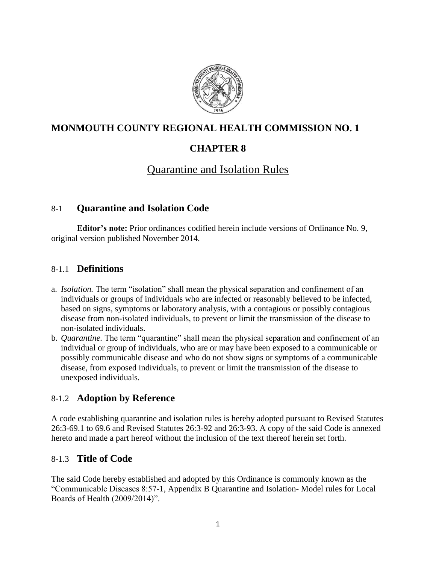

## **MONMOUTH COUNTY REGIONAL HEALTH COMMISSION NO. 1**

## **CHAPTER 8**

# Quarantine and Isolation Rules

### 8-1 **Quarantine and Isolation Code**

**Editor's note:** Prior ordinances codified herein include versions of Ordinance No. 9, original version published November 2014.

### 8-1.1 **Definitions**

- a. *Isolation.* The term "isolation" shall mean the physical separation and confinement of an individuals or groups of individuals who are infected or reasonably believed to be infected, based on signs, symptoms or laboratory analysis, with a contagious or possibly contagious disease from non-isolated individuals, to prevent or limit the transmission of the disease to non-isolated individuals.
- b. *Quarantine.* The term "quarantine" shall mean the physical separation and confinement of an individual or group of individuals, who are or may have been exposed to a communicable or possibly communicable disease and who do not show signs or symptoms of a communicable disease, from exposed individuals, to prevent or limit the transmission of the disease to unexposed individuals.

## 8-1.2 **Adoption by Reference**

A code establishing quarantine and isolation rules is hereby adopted pursuant to Revised Statutes 26:3-69.1 to 69.6 and Revised Statutes 26:3-92 and 26:3-93. A copy of the said Code is annexed hereto and made a part hereof without the inclusion of the text thereof herein set forth.

## 8-1.3 **Title of Code**

The said Code hereby established and adopted by this Ordinance is commonly known as the "Communicable Diseases 8:57-1, Appendix B Quarantine and Isolation- Model rules for Local Boards of Health (2009/2014)".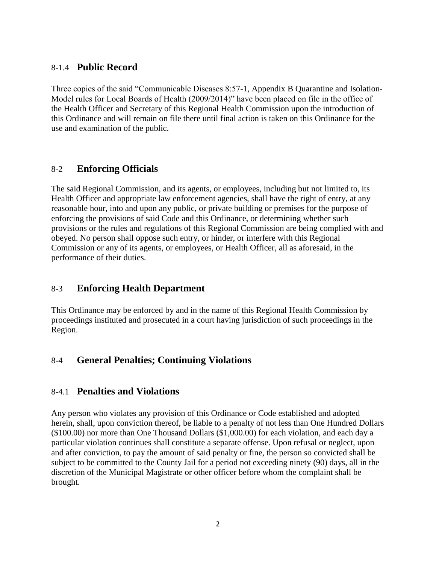### 8-1.4 **Public Record**

Three copies of the said "Communicable Diseases 8:57-1, Appendix B Quarantine and Isolation-Model rules for Local Boards of Health (2009/2014)" have been placed on file in the office of the Health Officer and Secretary of this Regional Health Commission upon the introduction of this Ordinance and will remain on file there until final action is taken on this Ordinance for the use and examination of the public.

### 8-2 **Enforcing Officials**

The said Regional Commission, and its agents, or employees, including but not limited to, its Health Officer and appropriate law enforcement agencies, shall have the right of entry, at any reasonable hour, into and upon any public, or private building or premises for the purpose of enforcing the provisions of said Code and this Ordinance, or determining whether such provisions or the rules and regulations of this Regional Commission are being complied with and obeyed. No person shall oppose such entry, or hinder, or interfere with this Regional Commission or any of its agents, or employees, or Health Officer, all as aforesaid, in the performance of their duties.

## 8-3 **Enforcing Health Department**

This Ordinance may be enforced by and in the name of this Regional Health Commission by proceedings instituted and prosecuted in a court having jurisdiction of such proceedings in the Region.

## 8-4 **General Penalties; Continuing Violations**

## 8-4.1 **Penalties and Violations**

Any person who violates any provision of this Ordinance or Code established and adopted herein, shall, upon conviction thereof, be liable to a penalty of not less than One Hundred Dollars (\$100.00) nor more than One Thousand Dollars (\$1,000.00) for each violation, and each day a particular violation continues shall constitute a separate offense. Upon refusal or neglect, upon and after conviction, to pay the amount of said penalty or fine, the person so convicted shall be subject to be committed to the County Jail for a period not exceeding ninety (90) days, all in the discretion of the Municipal Magistrate or other officer before whom the complaint shall be brought.